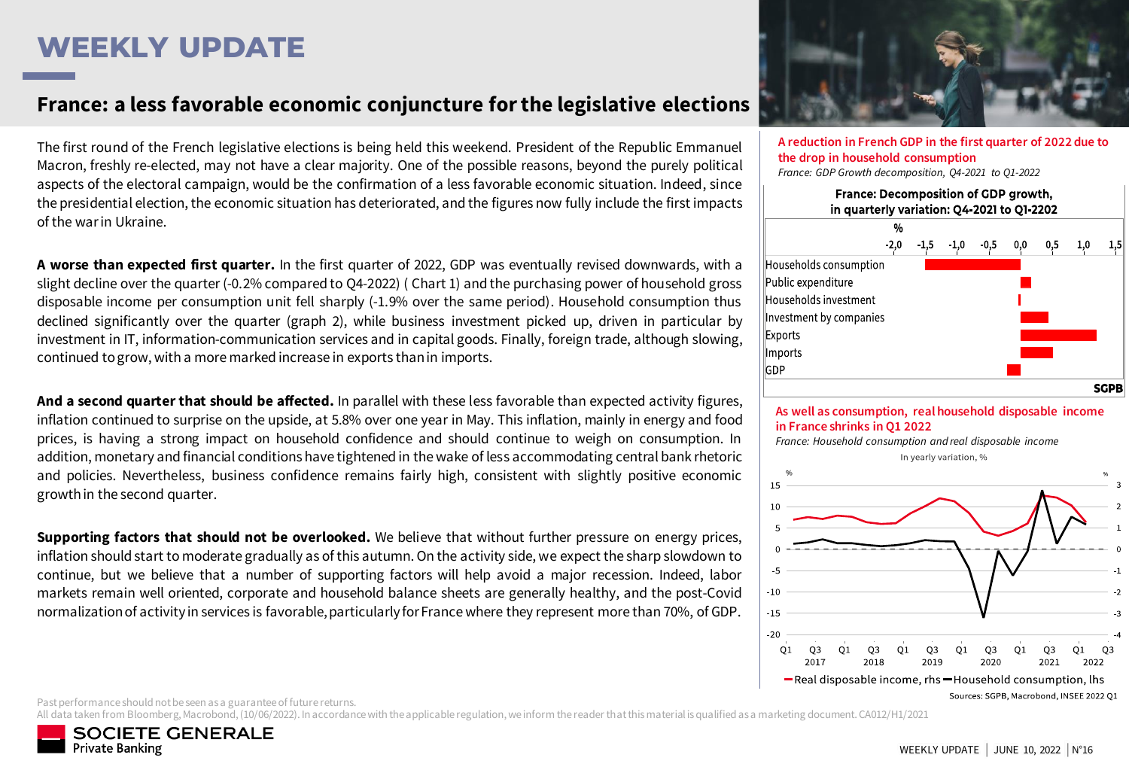# **WEEKLY UPDATE**

### France: a less favorable economic conjuncture for the legislative elections

The first round of the French legislative elections is being held this weekend. President of the Republic Emmanuel Macron, freshly re-elected, may not have a clear majority. One of the possible reasons, beyond the purely political aspects of the electoral campaign, would be the confirmation of a less favorable economic situation. Indeed, since the presidential election, the economic situation has deteriorated, and the figures now fully include the first impacts of the warin Ukraine.

**A worse than expected first quarter.** In the first quarter of 2022, GDP was eventually revised downwards, with a slight decline over the quarter (-0.2% compared to Q4-2022) ( Chart 1) and the purchasing power of household gross disposable income per consumption unit fell sharply (-1.9% over the same period). Household consumption thus declined significantly over the quarter (graph 2), while business investment picked up, driven in particular by investment in IT, information-communication services and in capital goods. Finally, foreign trade, although slowing, continued togrow, with a more marked increase in exports thanin imports.

**And a second quarterthat should be affected.** In parallel with these less favorable than expected activity figures, inflation continued to surprise on the upside, at 5.8% over one year in May. This inflation, mainly in energy and food prices, is having a strong impact on household confidence and should continue to weigh on consumption. In addition, monetary and financial conditions have tightened in the wake of less accommodating central bank rhetoric and policies. Nevertheless, business confidence remains fairly high, consistent with slightly positive economic growthin the second quarter.

**Supporting factors that should not be overlooked.** We believe that without further pressure on energy prices, inflation should start to moderate gradually as of this autumn. On the activity side, we expect the sharp slowdown to continue, but we believe that a number of supporting factors will help avoid a major recession. Indeed, labor markets remain well oriented, corporate and household balance sheets are generally healthy, and the post-Covid normalization of activity in services is favorable, particularly for France where they represent more than 70%, of GDP.



**A reduction in French GDP in the first quarter of 2022 due to the drop in household consumption** *France: GDP Growth decomposition, Q4-2021 to Q1-2022*





*France: Household consumption and real disposable income*



Past performance should not be seen as a guarantee of future returns.

All data taken from Bloomberg, Macrobond, (10/06/2022). In accordance with the applicable regulation, we inform the reader that this material is qualified as a marketing document. CA012/H1/2021

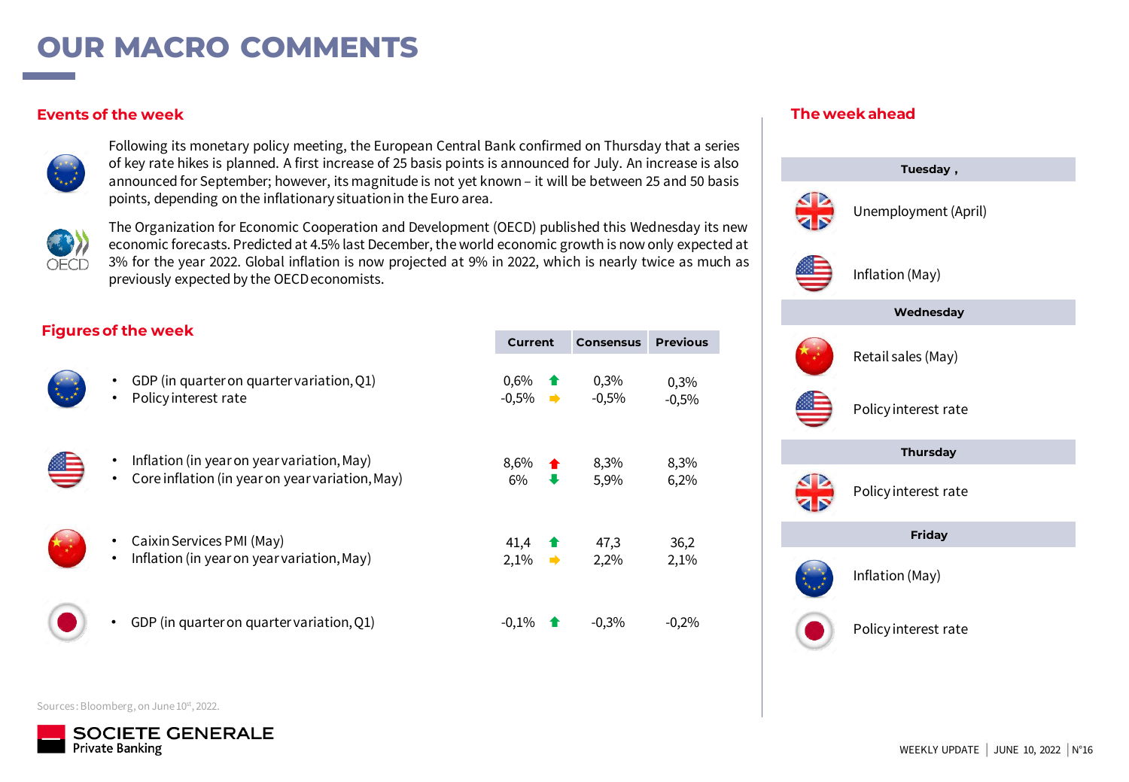## **OUR MACRO COMMENTS**

#### **Events of the week**



Following its monetary policy meeting, the European Central Bank confirmed on Thursday that a series of key rate hikes is planned. A first increase of 25 basis points is announced for July. An increase is also announced for September; however, its magnitude is not yet known – it will be between 25 and 50 basis points, depending on the inflationary situationin the Euro area.



The Organization for Economic Cooperation and Development (OECD) published this Wednesday its new economic forecasts. Predicted at 4.5% last December, the world economic growth is now only expected at 3% for the year 2022. Global inflation is now projected at 9% in 2022, which is nearly twice as much as previously expected by the OECDeconomists.

### **Figures of the week**

|                                                                                               | Current                        | <b>Consensus</b> | <b>Previous</b> |
|-----------------------------------------------------------------------------------------------|--------------------------------|------------------|-----------------|
| GDP (in quarter on quarter variation, Q1)<br>Policy interest rate<br>٠                        | 0,6%<br>$-0,5\%$ $\rightarrow$ | 0,3%<br>$-0,5%$  | 0,3%<br>$-0,5%$ |
| Inflation (in year on year variation, May)<br>Core inflation (in year on year variation, May) | 8,6%<br>6%                     | 8,3%<br>5,9%     | 8,3%<br>6,2%    |
| Caixin Services PMI (May)<br>Inflation (in year on year variation, May)<br>٠                  | 41,4<br>2,1%<br>➡              | 47,3<br>2,2%     | 36,2<br>2,1%    |
| GDP (in quarter on quarter variation, Q1)                                                     | $-0.1\%$                       | $-0,3%$          | $-0,2%$         |

#### **The week ahead**



Sources: Bloomberg, on June 10<sup>st</sup>, 2022.

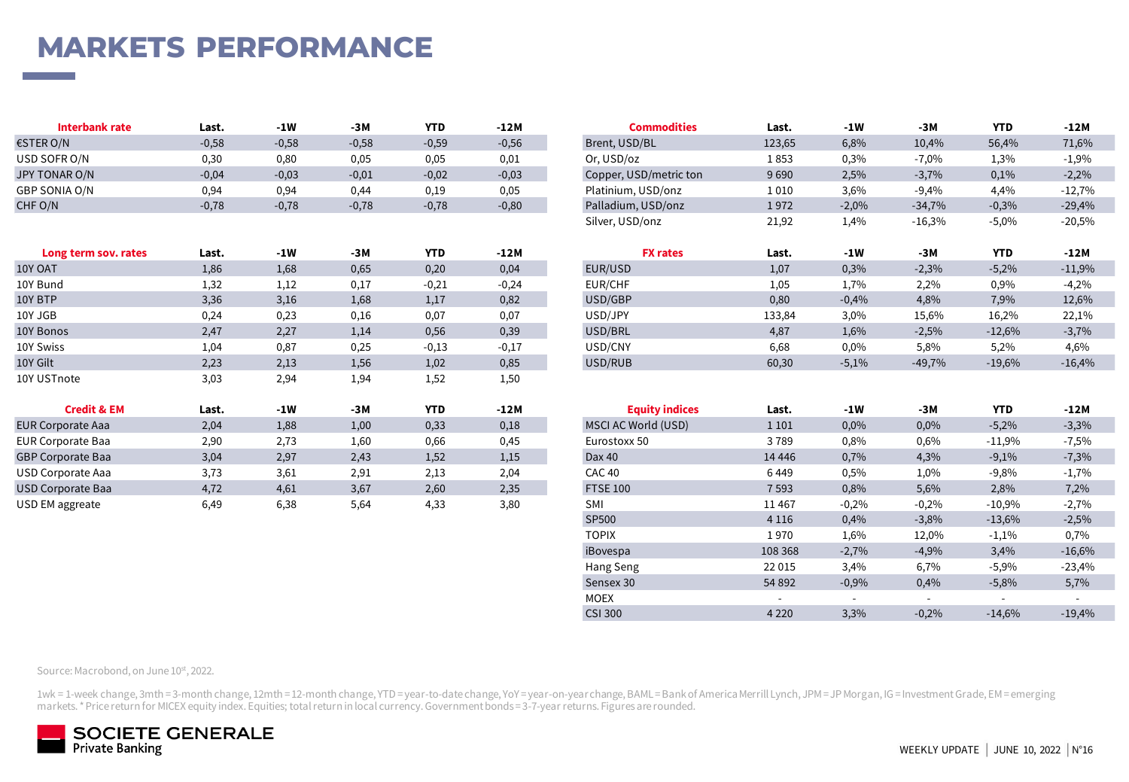# **MARKETS PERFORMANCE**

| Interbank rate | Last.   | -1W     | -3M     | <b>YTD</b> | -12 N   | <b>Commodities</b>     | Last.  | -1W     | -3M      | <b>YTD</b> | -12M     |
|----------------|---------|---------|---------|------------|---------|------------------------|--------|---------|----------|------------|----------|
| €STER O/N      | $-0,58$ | $-0,58$ | $-0,58$ | $-0,59$    | $-0,56$ | Brent, USD/BL          | 123,65 | 6,8%    | 10,4%    | 56,4%      | 71,6%    |
| USD SOFR O/N   | 0,30    | 0,80    | 0,05    | 0,05       | 0.01    | Or, USD/oz             | 1853   | 0,3%    | $-7,0%$  | 1,3%       | $-1,9%$  |
| JPY TONAR O/N  | $-0,04$ | $-0,03$ | $-0,01$ | $-0,02$    | $-0,03$ | Copper, USD/metric ton | 9690   | 2,5%    | 3,7%     | 0,1%       | $-2,2%$  |
| GBP SONIA O/N  | 0,94    | 0,94    | 0.44    | 0,19       | 0,05    | Platinium, USD/onz     | 1 010  | 3,6%    | $-9,4%$  | 4.4%       | $-12,7%$ |
| CHF O/N        | $-0.78$ | $-0.78$ | $-0.78$ | $-0.78$    | $-0.80$ | Palladium, USD/onz     | 1972   | $-2.0%$ | $-34,7%$ | 0.3%       | $-29.4%$ |

| Long term sov. rates          | Last.         | $-1W$         | -3M                  | <b>YTD</b> | -12M          | <b>FX rates</b>       | Last.    | $-1W$   | -3M      | <b>YTD</b> | -12M                 |
|-------------------------------|---------------|---------------|----------------------|------------|---------------|-----------------------|----------|---------|----------|------------|----------------------|
| 10Y OAT                       | 1,86          | 1,68          | 0,65                 | 0,20       | 0,04          | EUR/USD               | 1,07     | 0,3%    | $-2,3%$  | $-5,2%$    | $-11,9%$             |
| 10Y Bund                      | 1,32          | 1,12          | 0,17                 | $-0,21$    | $-0,24$       | EUR/CHF               | 1,05     | 1,7%    | 2,2%     | 0,9%       | $-4,2%$              |
| 10Y BTP                       | 3,36          | 3,16          | 1,68                 | 1,17       | 0,82          | USD/GBP               | 0,80     | $-0,4%$ | 4,8%     | 7,9%       | 12,6%                |
| 10Y JGB                       | 0,24          | 0,23          | 0,16                 | 0,07       | 0,07          | USD/JPY               | 133,84   | 3,0%    | 15,6%    | 16,2%      | 22,1%                |
| 10Y Bonos                     | 2,47          | 2,27          | 1,14                 | 0,56       | 0,39          | USD/BRL               | 4,87     | 1,6%    | $-2,5%$  | $-12,6%$   | $-3,7%$              |
| 10Y Swiss                     | 1,04          | 0,87          | 0,25                 | $-0,13$    | $-0,17$       | USD/CNY               | 6,68     | 0,0%    | 5,8%     | 5,2%       | 4,6%                 |
| 10Y Gilt                      | 2,23          | 2,13          | 1,56                 | 1,02       | 0,85          | USD/RUB               | 60,30    | $-5,1%$ | $-49,7%$ | $-19,6%$   | $-16,4%$             |
| 10Y USTnote                   | 3,03          | 2,94          | 1,94                 | 1,52       | 1,50          |                       |          |         |          |            |                      |
| <b>Credit &amp; EM</b>        | Last.         | $-1W$         | $-3M$                | <b>YTD</b> | $-12M$        | <b>Equity indices</b> | Last.    | $-1W$   | -3M      | <b>YTD</b> | -12M                 |
| <b>EUR Corporate Aaa</b>      | 2,04          | 1,88          | 1,00                 | 0,33       | 0,18          | MSCI AC World (USD)   | 1 1 0 1  | 0,0%    | 0,0%     | $-5,2%$    | $-3,3%$              |
| <b>EUR Corporate Baa</b>      | 2,90          | 2,73          | 1,60                 | 0,66       | 0,45          | Eurostoxx 50          | 3789     | 0,8%    | 0,6%     | $-11,9%$   | $-7,5%$              |
| <b>GBP Corporate Baa</b>      | 3,04          | 2,97          | 2,43                 | 1,52       | 1,15          | Dax 40                | 14 4 4 6 | 0,7%    | 4,3%     | $-9,1%$    | $-7,3%$              |
| USD Corporate Aaa             | 3,73          | 3,61          | 2,91                 | 2,13       | 2,04          | CAC 40                | 6449     | 0,5%    | 1,0%     | $-9,8%$    | $-1,7%$              |
| <b>USD Corporate Baa</b>      | 4,72          | 4,61          | 3,67                 | 2,60       | 2,35          | <b>FTSE 100</b>       | 7 5 9 3  | 0,8%    | 5,6%     | 2,8%       | 7,2%                 |
| $\mathbf{11} \cap \mathbf{N}$ | $\sim$ $\sim$ | $\sim$ $\sim$ | $\sim$ $\sim$ $\sim$ | $\sim$     | $\sim$ $\sim$ | $\sim$ $\sim$         | $\cdots$ | 0.001   | 0.201    | 1000       | $\sim$ $\sim$ $\sim$ |

| Interbank rate       | Last.   | $-1W$   | $-3M$   | <b>YTD</b> | $-12M$  | <b>Commodities</b>     | Last.  | $-1W$   | $-3M$    | <b>YTD</b> | -12M     |
|----------------------|---------|---------|---------|------------|---------|------------------------|--------|---------|----------|------------|----------|
| €STER O/N            | $-0,58$ | $-0,58$ | $-0,58$ | $-0,59$    | $-0,56$ | Brent, USD/BL          | 123,65 | 6,8%    | 10,4%    | 56,4%      | 71,6%    |
| USD SOFR O/N         | 0,30    | 0,80    | 0,05    | 0,05       | 0,01    | Or, USD/oz             | 1853   | 0,3%    | $-7,0%$  | 1,3%       | $-1,9%$  |
| JPY TONAR O/N        | $-0,04$ | $-0,03$ | $-0,01$ | $-0,02$    | $-0,03$ | Copper, USD/metric ton | 9690   | 2,5%    | $-3,7%$  | 0,1%       | $-2,2%$  |
| GBP SONIA O/N        | 0,94    | 0,94    | 0,44    | 0,19       | 0,05    | Platinium, USD/onz     | 1010   | 3,6%    | $-9,4%$  | 4,4%       | $-12,7%$ |
| CHF O/N              | $-0,78$ | $-0,78$ | $-0,78$ | $-0,78$    | $-0,80$ | Palladium, USD/onz     | 1972   | $-2,0%$ | $-34,7%$ | $-0,3%$    | $-29,4%$ |
|                      |         |         |         |            |         | Silver, USD/onz        | 21,92  | 1,4%    | $-16,3%$ | $-5,0%$    | $-20,5%$ |
|                      |         |         |         |            |         |                        |        |         |          |            |          |
| Long term sov. rates | Last.   | $-1W$   | $-3M$   | <b>YTD</b> | -12M    | <b>FX rates</b>        | Last.  | $-1W$   | -3M      | <b>YTD</b> | -12M     |
| 10Y OAT              | 1,86    | 1,68    | 0,65    | 0,20       | 0,04    | EUR/USD                | 1,07   | 0,3%    | $-2,3%$  | $-5,2%$    | $-11,9%$ |
| 10Y Bund             | 1,32    | 1,12    | 0,17    | $-0,21$    | $-0,24$ | EUR/CHF                | 1,05   | 1,7%    | 2,2%     | 0,9%       | $-4,2%$  |
| 10Y BTP              | 3,36    | 3,16    | 1,68    | 1,17       | 0,82    | USD/GBP                | 0,80   | $-0,4%$ | 4,8%     | 7,9%       | 12,6%    |
| 10Y JGB              | 0,24    | 0,23    | 0,16    | 0,07       | 0,07    | USD/JPY                | 133,84 | 3,0%    | 15,6%    | 16,2%      | 22,1%    |
| 10Y Bonos            | 2,47    | 2,27    | 1,14    | 0,56       | 0,39    | USD/BRL                | 4,87   | 1,6%    | $-2,5%$  | $-12,6%$   | $-3,7%$  |
| 10Y Swiss            | 1,04    | 0,87    | 0,25    | $-0,13$    | $-0,17$ | USD/CNY                | 6,68   | 0,0%    | 5,8%     | 5,2%       | 4,6%     |
| 10Y Gilt             | 2,23    | 2,13    | 1,56    | 1,02       | 0,85    | USD/RUB                | 60,30  | $-5,1%$ | $-49,7%$ | $-19,6%$   | $-16,4%$ |
|                      |         |         |         |            |         |                        |        |         |          |            |          |

| <b>Credit &amp; EM</b>   | Last. | $-1W$ | $-3M$ | <b>YTD</b> | $-12M$ | <b>Equity indices</b> | Last.                    | -1W                      | $-3M$                    | <b>YTD</b> | -12M                     |
|--------------------------|-------|-------|-------|------------|--------|-----------------------|--------------------------|--------------------------|--------------------------|------------|--------------------------|
| EUR Corporate Aaa        | 2,04  | 1,88  | 1,00  | 0,33       | 0,18   | MSCI AC World (USD)   | 1 1 0 1                  | 0,0%                     | 0,0%                     | $-5,2%$    | $-3,3%$                  |
| <b>EUR Corporate Baa</b> | 2,90  | 2,73  | 1,60  | 0,66       | 0,45   | Eurostoxx 50          | 3789                     | 0,8%                     | 0,6%                     | $-11,9%$   | $-7,5%$                  |
| <b>GBP Corporate Baa</b> | 3,04  | 2,97  | 2,43  | 1,52       | 1,15   | Dax 40                | 14 4 4 6                 | 0,7%                     | 4,3%                     | $-9,1%$    | $-7,3%$                  |
| USD Corporate Aaa        | 3,73  | 3,61  | 2,91  | 2,13       | 2,04   | <b>CAC 40</b>         | 6449                     | 0,5%                     | 1,0%                     | $-9,8%$    | $-1,7%$                  |
| <b>USD Corporate Baa</b> | 4,72  | 4,61  | 3,67  | 2,60       | 2,35   | <b>FTSE 100</b>       | 7 5 9 3                  | 0,8%                     | 5,6%                     | 2,8%       | 7,2%                     |
| USD EM aggreate          | 6,49  | 6,38  | 5,64  | 4,33       | 3,80   | SMI                   | 11 4 67                  | $-0,2%$                  | $-0,2%$                  | $-10,9%$   | $-2,7%$                  |
|                          |       |       |       |            |        | SP500                 | 4 1 1 6                  | 0,4%                     | $-3,8%$                  | $-13,6%$   | $-2,5%$                  |
|                          |       |       |       |            |        | <b>TOPIX</b>          | 1970                     | 1,6%                     | 12,0%                    | $-1,1%$    | 0,7%                     |
|                          |       |       |       |            |        | iBovespa              | 108 368                  | $-2,7%$                  | $-4,9%$                  | 3,4%       | $-16,6%$                 |
|                          |       |       |       |            |        | Hang Seng             | 22 015                   | 3,4%                     | 6,7%                     | $-5,9%$    | $-23,4%$                 |
|                          |       |       |       |            |        | Sensex 30             | 54 892                   | $-0,9%$                  | 0,4%                     | $-5,8%$    | 5,7%                     |
|                          |       |       |       |            |        | <b>MOEX</b>           | $\overline{\phantom{0}}$ | $\overline{\phantom{0}}$ | $\overline{\phantom{0}}$ |            | $\overline{\phantom{a}}$ |
|                          |       |       |       |            |        | <b>CSI 300</b>        | 4 2 2 0                  | 3,3%                     | $-0,2%$                  | $-14,6%$   | $-19,4%$                 |

Source: Macrobond, on June 10st, 2022.

1wk = 1-week change, 3mth = 3-month change, 12mth = 12-month change, YTD = year-to-date change, YoY = year-on-year change, BAML = Bank of America Merrill Lynch, JPM = JP Morgan, IG = Investment Grade, EM = emerging markets. \* Price return for MICEX equity index. Equities; total return in local currency. Government bonds = 3-7-year returns. Figures are rounded.

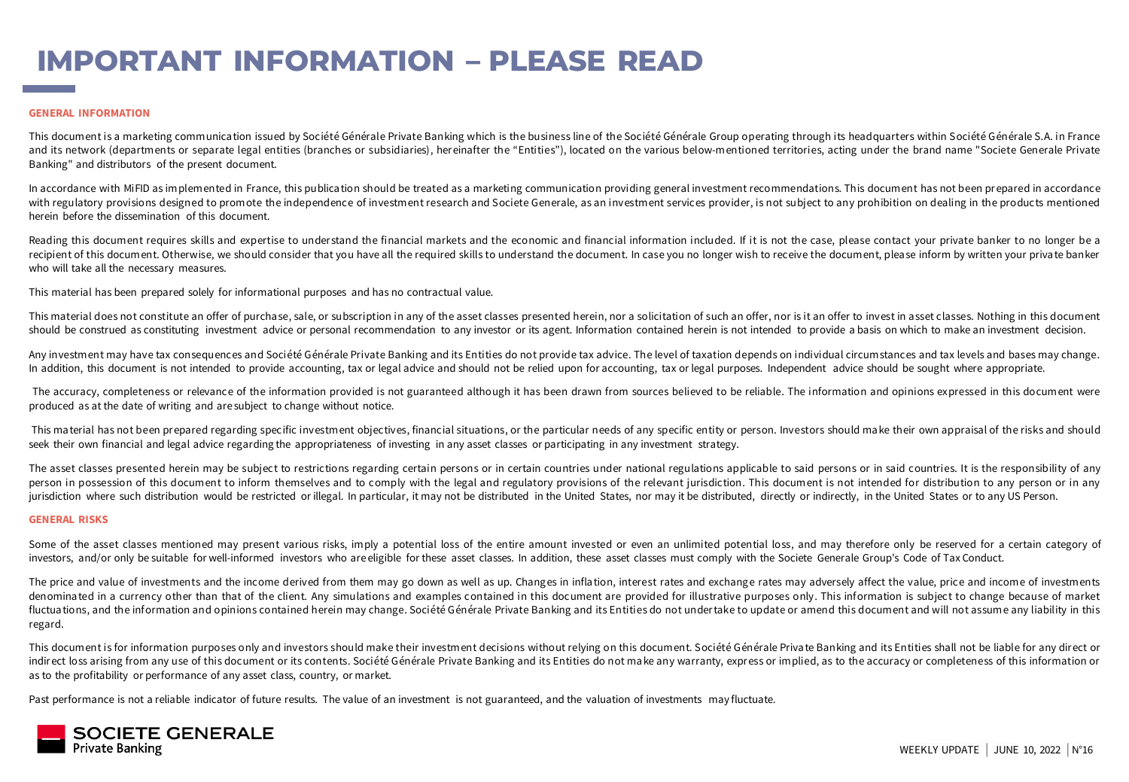# **IMPORTANT INFORMATION – PLEASE READ**

#### **GENERAL INFORMATION**

This document is a marketing communica tion issued by Société Générale Private Banking which is the business line of the Société Générale Group operating through its headquarters within Société Générale S.A. in France and its network (departments or separate legal entities (branches or subsidiaries), hereinafter the "Entities"), located on the various below-mentioned territories, acting under the brand name "Societe Generale Private Banking" and distributors of the present document.

In accordance with MiFID as implemented in France, this publication should be treated as a marketing communication providing general investment recommendations. This document has not been prepared in accordance with regulatory provisions designed to promote the independence of investment research and Societe Generale, as an investment services provider, is not subject to any prohibition on dealing in the products mentioned herein before the dissemination of this document.

Reading this document requires skills and expertise to understand the financial markets and the economic and financial information included. If it is not the case, please contact your private banker to no longer be a recipient of this document. Otherwise, we should consider that you have all the required skills to understand the document. In case you no longer wish to receive the document, please inform by written your private banker who will take all the necessary measures.

This material has been prepared solely for informational purposes and has no contractual value.

This material does not constitute an offer of purchase, sale, or subscription in any of the asset classes presented herein, nor a solicitation of such an offer, nor is it an offer to invest in asset classes. Nothing in thi should be construed as constituting investment advice or personal recommendation to any investor or its agent. Information contained herein is not intended to provide a basis on which to make an investment decision.

Any investment may have tax consequences and Société Générale Private Banking and its Entities do not provide tax advice. The level of taxation depends on individual circumstances and tax levels and bases may change. In addition, this document is not intended to provide accounting, tax or legal advice and should not be relied upon for accounting, tax or legal purposes. Independent advice should be sought where appropriate.

The accuracy, completeness or relevance of the information provided is not guaranteed although it has been drawn from sources believed to be reliable. The information and opinions expressed in this document were produced as at the date of writing and are subject to change without notice.

This material has not been prepared regarding specific investment objectives, financial situations, or the particular needs of any specific entity or person. Investors should make their own appraisal of the risks and shoul seek their own financial and legal advice regarding the appropriateness of investing in any asset classes or participating in any investment strategy.

The asset classes presented herein may be subject to restrictions regarding certain persons or in certain countries under national regulations applicable to said persons or in said countries. It is the responsibility of an person in possession of this document to inform themselves and to comply with the legal and regulatory provisions of the relevant jurisdiction. This document is not intended for distribution to any person or in any jurisdiction where such distribution would be restricted or illegal. In particular, it may not be distributed in the United States, nor may it be distributed, directly or indirectly, in the United States or to any US Perso

#### **GENERAL RISKS**

Some of the asset classes mentioned may present various risks, imply a potential loss of the entire amount invested or even an unlimited potential loss, and may therefore only be reserved for a certain category of investors, and/or only be suitable for well-informed investors who areeligible for these asset classes. In addition, these asset classes must comply with the Societe Generale Group's Code of Tax Conduct.

The price and value of investments and the income derived from them may go down as well as up. Changes in inflation, interest rates and exchange rates may adversely affect the value, price and income of investments denominated in a currency other than that of the client. Any simulations and examples contained in this document are provided for illustrative purposes only. This information is subject to change because of market fluctuations, and the information and opinions contained herein may change. Société Générale Private Banking and its Entities do not undertake to update or amend this document and will not assume any liability in this regard.

This document is for information purposes only and investors should make their investment decisions without relying on this document. Société Générale Priva te Banking and its Entities shall not be liable for any direct or indirect loss arising from any use of this document or its contents. Société Générale Private Banking and its Entities do not make any warranty, express or implied, as to the accuracy or completeness of this information or as to the profitability or performance of any asset class, country, or market.

Past performance is not a reliable indicator of future results. The value of an investment is not guaranteed, and the valuation of investments may fluctuate.

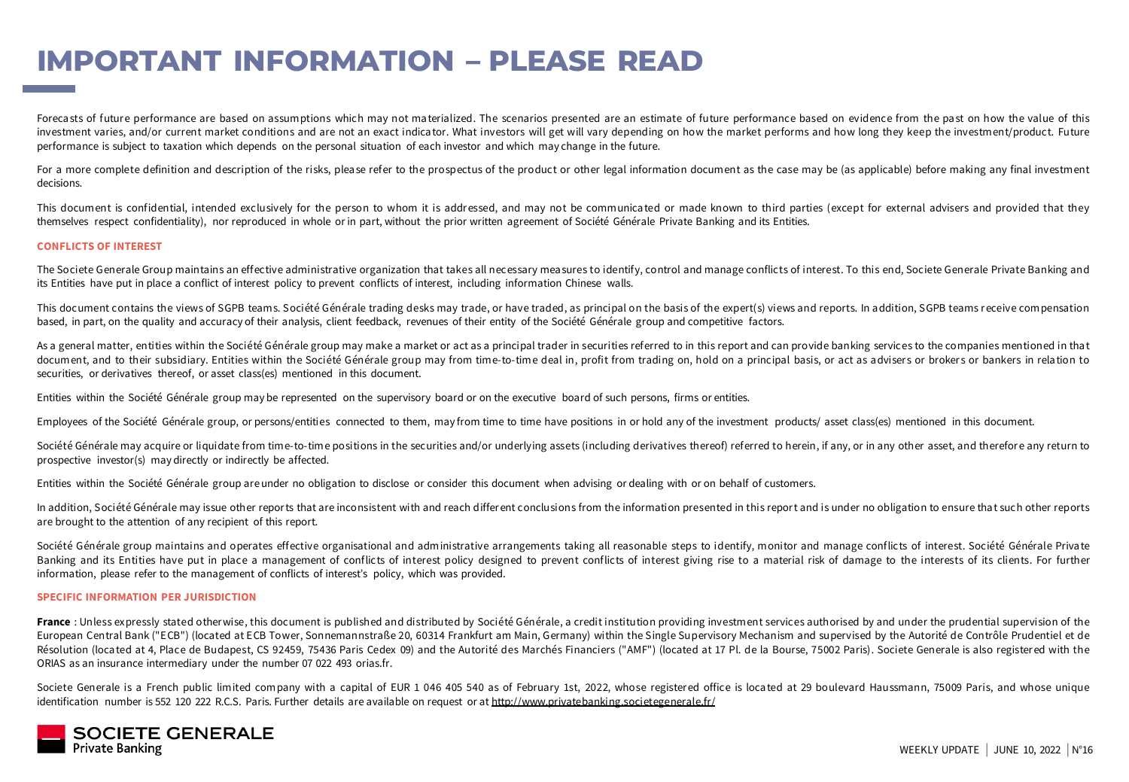## **IMPORTANT INFORMATION – PLEASE READ**

Forecasts of future performance are based on assumptions which may not materialized. The scenarios presented are an estimate of future performance based on evidence from the past on how the value of this investment varies, and/or current market conditions and are not an exact indicator. What investors will get will vary depending on how the market performs and how long they keep the investment/product. Future performance is subject to taxation which depends on the personal situation of each investor and which may change in the future.

For a more complete definition and description of the risks, please refer to the prospectus of the product or other legal information document as the case may be (as applicable) before making any final investment decisions.

This document is confidential, intended exclusively for the person to whom it is addressed, and may not be communicated or made known to third parties (except for external advisers and provided that they themselves respect confidentiality), nor reproduced in whole or in part, without the prior written agreement of Société Générale Private Banking and its Entities.

#### **CONFLICTS OF INTEREST**

The Societe Generale Group maintains an effective administrative organization that takes all necessary mea sures to identify, control and manage conflicts of interest. To this end, Societe Generale Private Banking and its Entities have put in place a conflict of interest policy to prevent conflicts of interest, including information Chinese walls.

This document contains the views of SGPB teams. Société Générale trading desks may trade, or have traded, as principal on the basis of the expert(s) views and reports. In addition, SGPB teams receive compensation based, in part, on the quality and accuracy of their analysis, client feedback, revenues of their entity of the Société Générale group and competitive factors.

As a general matter, entities within the Société Générale group may make a market or act as a principal trader in securities referred to in this report and can provide banking services to the companies mentioned in that document, and to their subsidiary. Entities within the Société Générale group may from time-to-time deal in, profit from trading on, hold on a principal basis, or act as advisers or brokers or bankers in relation to securities, or derivatives thereof, or asset class(es) mentioned in this document.

Entities within the Société Générale group may be represented on the supervisory board or on the executive board of such persons, firms or entities.

Employees of the Société Générale group, or persons/entities connected to them, may from time to time have positions in or hold any of the investment products/ asset class(es) mentioned in this document.

Société Générale may acquire or liquidate from time-to-time positions in the securities and/or underlying assets (including derivatives thereof) referred to herein, if any, or in any other asset, and therefore any return t prospective investor(s) may directly or indirectly be affected.

Entities within the Société Générale group areunder no obligation to disclose or consider this document when advising or dealing with or on behalf of customers.

In addition, Société Générale may issue other reports that are inconsistent with and reach differ ent conclusions from the information presented in this report and is under no obligation to ensure that such other reports are brought to the attention of any recipient of this report.

Société Générale group maintains and operates effective organisational and administrative arrangements taking all reasonable steps to identify, monitor and manage conflicts of interest. Société Générale Private Banking and its Entities have put in place a management of conflicts of interest policy designed to prevent conflicts of interest giving rise to a material risk of damage to the interests of its clients. For further information, please refer to the management of conflicts of interest's policy, which was provided.

#### **SPECIFIC INFORMATION PER JURISDICTION**

France : Unless expressly stated other wise, this document is published and distributed by Société Générale, a credit institution providing investment services authorised by and under the prudential supervision of the European Central Bank ("ECB") (located at ECB Tower, Sonnemannstraße 20, 60314 Frankfurt am Main, Germany) within the Single Supervisory Mechanism and supervised by the Autorité de Contrôle Prudentiel et de Résolution (loca ted at 4, Place de Budapest, CS 92459, 75436 Paris Cedex 09) and the Autorité des Marchés Financiers ("AMF") (located at 17 Pl. de la Bourse, 75002 Paris). Societe Generale is also registered with the ORIAS as an insurance intermediary under the number 07 022 493 orias.fr.

Societe Generale is a French public limited company with a capital of EUR 1 046 405 540 as of February 1st, 2022, whose registered office is located at 29 boulevard Haussmann, 75009 Paris, and whose unique identification number is 552 120 222 R.C.S. Paris. Further details are available on request or at <http://www.privatebanking.societegenerale.fr/>